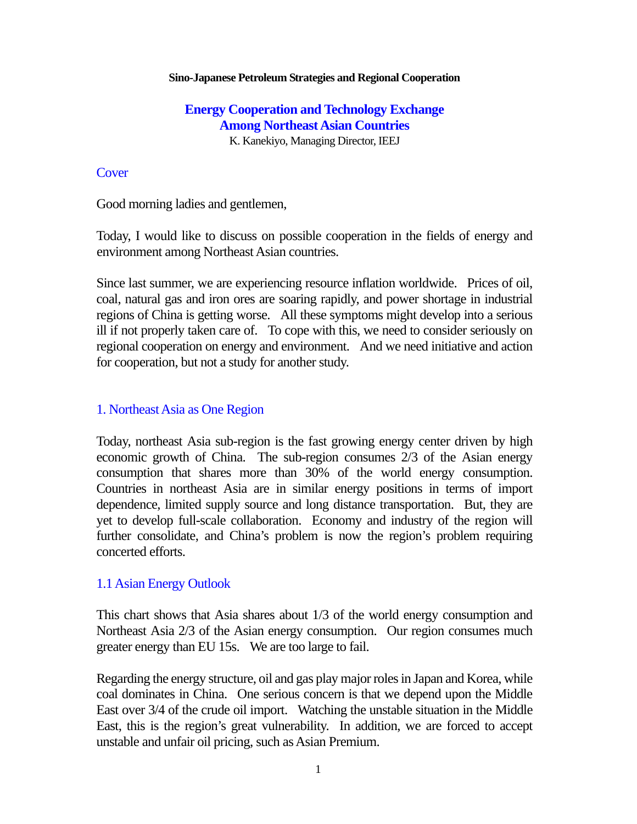#### **Sino-Japanese Petroleum Strategies and Regional Cooperation**

### **Energy Cooperation and Technology Exchange Among Northeast Asian Countries**  K. Kanekiyo, Managing Director, IEEJ

#### **Cover**

Good morning ladies and gentlemen,

Today, I would like to discuss on possible cooperation in the fields of energy and environment among Northeast Asian countries.

Since last summer, we are experiencing resource inflation worldwide. Prices of oil, coal, natural gas and iron ores are soaring rapidly, and power shortage in industrial regions of China is getting worse. All these symptoms might develop into a serious ill if not properly taken care of. To cope with this, we need to consider seriously on regional cooperation on energy and environment. And we need initiative and action for cooperation, but not a study for another study.

#### 1. Northeast Asia as One Region

Today, northeast Asia sub-region is the fast growing energy center driven by high economic growth of China. The sub-region consumes 2/3 of the Asian energy consumption that shares more than 30% of the world energy consumption. Countries in northeast Asia are in similar energy positions in terms of import dependence, limited supply source and long distance transportation. But, they are yet to develop full-scale collaboration. Economy and industry of the region will further consolidate, and China's problem is now the region's problem requiring concerted efforts.

#### 1.1 Asian Energy Outlook

This chart shows that Asia shares about 1/3 of the world energy consumption and Northeast Asia 2/3 of the Asian energy consumption. Our region consumes much greater energy than EU 15s. We are too large to fail.

Regarding the energy structure, oil and gas play major roles in Japan and Korea, while coal dominates in China. One serious concern is that we depend upon the Middle East over 3/4 of the crude oil import. Watching the unstable situation in the Middle East, this is the region's great vulnerability. In addition, we are forced to accept unstable and unfair oil pricing, such as Asian Premium.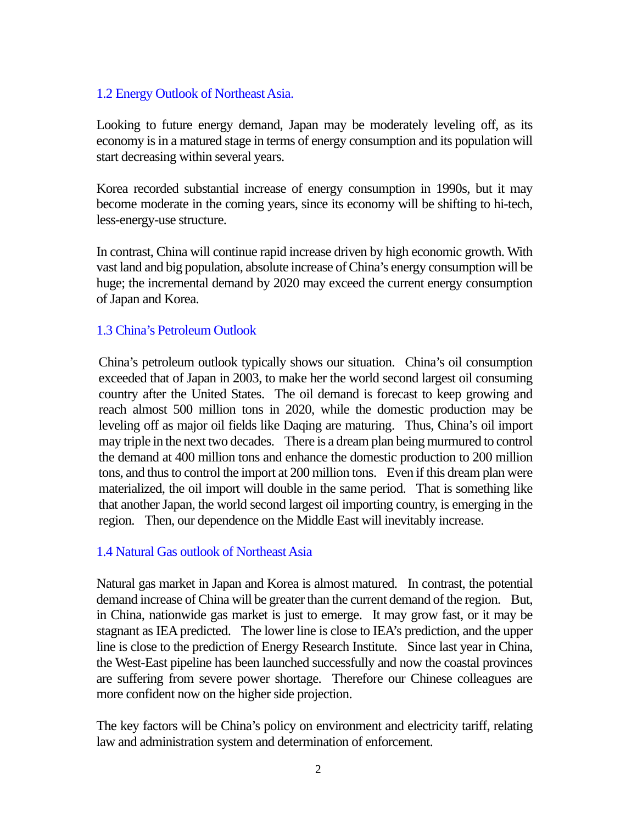## 1.2 Energy Outlook of Northeast Asia.

Looking to future energy demand, Japan may be moderately leveling off, as its economy is in a matured stage in terms of energy consumption and its population will start decreasing within several years.

Korea recorded substantial increase of energy consumption in 1990s, but it may become moderate in the coming years, since its economy will be shifting to hi-tech, less-energy-use structure.

In contrast, China will continue rapid increase driven by high economic growth. With vast land and big population, absolute increase of China's energy consumption will be huge; the incremental demand by 2020 may exceed the current energy consumption of Japan and Korea.

#### 1.3 China's Petroleum Outlook

China's petroleum outlook typically shows our situation. China's oil consumption exceeded that of Japan in 2003, to make her the world second largest oil consuming country after the United States. The oil demand is forecast to keep growing and reach almost 500 million tons in 2020, while the domestic production may be leveling off as major oil fields like Daqing are maturing. Thus, China's oil import may triple in the next two decades. There is a dream plan being murmured to control the demand at 400 million tons and enhance the domestic production to 200 million tons, and thus to control the import at 200 million tons. Even if this dream plan were materialized, the oil import will double in the same period. That is something like that another Japan, the world second largest oil importing country, is emerging in the region. Then, our dependence on the Middle East will inevitably increase.

#### 1.4 Natural Gas outlook of Northeast Asia

Natural gas market in Japan and Korea is almost matured. In contrast, the potential demand increase of China will be greater than the current demand of the region. But, in China, nationwide gas market is just to emerge. It may grow fast, or it may be stagnant as IEA predicted. The lower line is close to IEA's prediction, and the upper line is close to the prediction of Energy Research Institute. Since last year in China, the West-East pipeline has been launched successfully and now the coastal provinces are suffering from severe power shortage. Therefore our Chinese colleagues are more confident now on the higher side projection.

The key factors will be China's policy on environment and electricity tariff, relating law and administration system and determination of enforcement.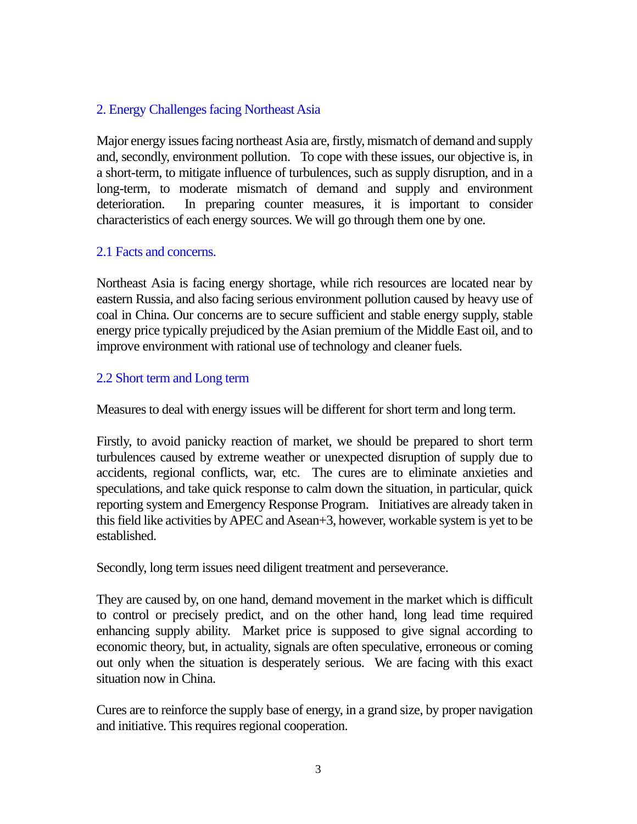## 2. Energy Challenges facing Northeast Asia

Major energy issues facing northeast Asia are, firstly, mismatch of demand and supply and, secondly, environment pollution. To cope with these issues, our objective is, in a short-term, to mitigate influence of turbulences, such as supply disruption, and in a long-term, to moderate mismatch of demand and supply and environment deterioration. In preparing counter measures, it is important to consider characteristics of each energy sources. We will go through them one by one.

## 2.1 Facts and concerns.

Northeast Asia is facing energy shortage, while rich resources are located near by eastern Russia, and also facing serious environment pollution caused by heavy use of coal in China. Our concerns are to secure sufficient and stable energy supply, stable energy price typically prejudiced by the Asian premium of the Middle East oil, and to improve environment with rational use of technology and cleaner fuels.

## 2.2 Short term and Long term

Measures to deal with energy issues will be different for short term and long term.

Firstly, to avoid panicky reaction of market, we should be prepared to short term turbulences caused by extreme weather or unexpected disruption of supply due to accidents, regional conflicts, war, etc. The cures are to eliminate anxieties and speculations, and take quick response to calm down the situation, in particular, quick reporting system and Emergency Response Program. Initiatives are already taken in this field like activities by APEC and Asean+3, however, workable system is yet to be established.

Secondly, long term issues need diligent treatment and perseverance.

They are caused by, on one hand, demand movement in the market which is difficult to control or precisely predict, and on the other hand, long lead time required enhancing supply ability. Market price is supposed to give signal according to economic theory, but, in actuality, signals are often speculative, erroneous or coming out only when the situation is desperately serious. We are facing with this exact situation now in China.

Cures are to reinforce the supply base of energy, in a grand size, by proper navigation and initiative. This requires regional cooperation.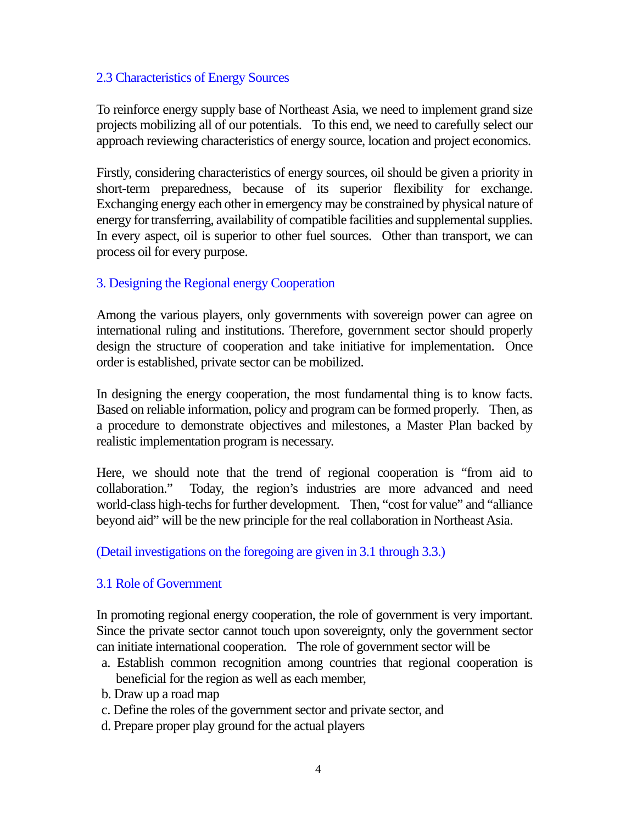## 2.3 Characteristics of Energy Sources

To reinforce energy supply base of Northeast Asia, we need to implement grand size projects mobilizing all of our potentials. To this end, we need to carefully select our approach reviewing characteristics of energy source, location and project economics.

Firstly, considering characteristics of energy sources, oil should be given a priority in short-term preparedness, because of its superior flexibility for exchange. Exchanging energy each other in emergency may be constrained by physical nature of energy for transferring, availability of compatible facilities and supplemental supplies. In every aspect, oil is superior to other fuel sources. Other than transport, we can process oil for every purpose.

## 3. Designing the Regional energy Cooperation

Among the various players, only governments with sovereign power can agree on international ruling and institutions. Therefore, government sector should properly design the structure of cooperation and take initiative for implementation. Once order is established, private sector can be mobilized.

In designing the energy cooperation, the most fundamental thing is to know facts. Based on reliable information, policy and program can be formed properly. Then, as a procedure to demonstrate objectives and milestones, a Master Plan backed by realistic implementation program is necessary.

Here, we should note that the trend of regional cooperation is "from aid to collaboration." Today, the region's industries are more advanced and need world-class high-techs for further development. Then, "cost for value" and "alliance beyond aid" will be the new principle for the real collaboration in Northeast Asia.

(Detail investigations on the foregoing are given in 3.1 through 3.3.)

## 3.1 Role of Government

In promoting regional energy cooperation, the role of government is very important. Since the private sector cannot touch upon sovereignty, only the government sector can initiate international cooperation. The role of government sector will be

- a. Establish common recognition among countries that regional cooperation is beneficial for the region as well as each member,
- b. Draw up a road map
- c. Define the roles of the government sector and private sector, and
- d. Prepare proper play ground for the actual players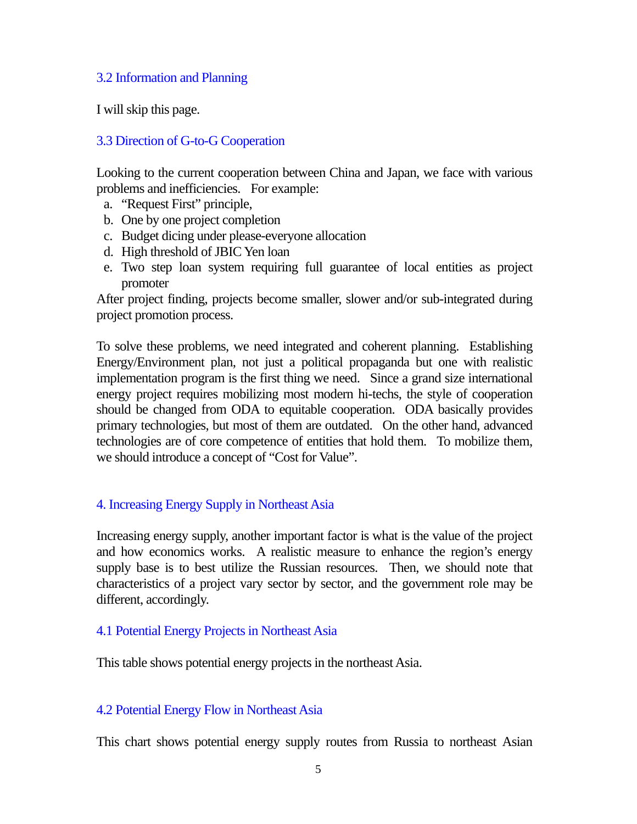## 3.2 Information and Planning

I will skip this page.

# 3.3 Direction of G-to-G Cooperation

Looking to the current cooperation between China and Japan, we face with various problems and inefficiencies. For example:

- a. "Request First" principle,
- b. One by one project completion
- c. Budget dicing under please-everyone allocation
- d. High threshold of JBIC Yen loan
- e. Two step loan system requiring full guarantee of local entities as project promoter

After project finding, projects become smaller, slower and/or sub-integrated during project promotion process.

To solve these problems, we need integrated and coherent planning. Establishing Energy/Environment plan, not just a political propaganda but one with realistic implementation program is the first thing we need. Since a grand size international energy project requires mobilizing most modern hi-techs, the style of cooperation should be changed from ODA to equitable cooperation. ODA basically provides primary technologies, but most of them are outdated. On the other hand, advanced technologies are of core competence of entities that hold them. To mobilize them, we should introduce a concept of "Cost for Value".

## 4. Increasing Energy Supply in Northeast Asia

Increasing energy supply, another important factor is what is the value of the project and how economics works. A realistic measure to enhance the region's energy supply base is to best utilize the Russian resources. Then, we should note that characteristics of a project vary sector by sector, and the government role may be different, accordingly.

## 4.1 Potential Energy Projects in Northeast Asia

This table shows potential energy projects in the northeast Asia.

## 4.2 Potential Energy Flow in Northeast Asia

This chart shows potential energy supply routes from Russia to northeast Asian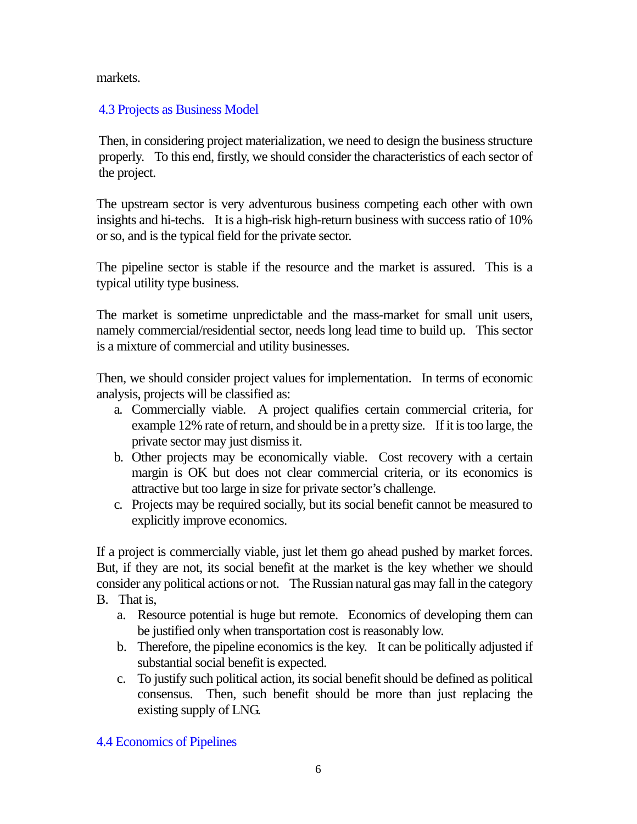markets.

## 4.3 Projects as Business Model

Then, in considering project materialization, we need to design the business structure properly. To this end, firstly, we should consider the characteristics of each sector of the project.

The upstream sector is very adventurous business competing each other with own insights and hi-techs. It is a high-risk high-return business with success ratio of 10% or so, and is the typical field for the private sector.

The pipeline sector is stable if the resource and the market is assured. This is a typical utility type business.

The market is sometime unpredictable and the mass-market for small unit users, namely commercial/residential sector, needs long lead time to build up. This sector is a mixture of commercial and utility businesses.

Then, we should consider project values for implementation. In terms of economic analysis, projects will be classified as:

- a. Commercially viable. A project qualifies certain commercial criteria, for example 12% rate of return, and should be in a pretty size. If it is too large, the private sector may just dismiss it.
- b. Other projects may be economically viable. Cost recovery with a certain margin is OK but does not clear commercial criteria, or its economics is attractive but too large in size for private sector's challenge.
- c. Projects may be required socially, but its social benefit cannot be measured to explicitly improve economics.

If a project is commercially viable, just let them go ahead pushed by market forces. But, if they are not, its social benefit at the market is the key whether we should consider any political actions or not. The Russian natural gas may fall in the category B. That is,

- a. Resource potential is huge but remote. Economics of developing them can be justified only when transportation cost is reasonably low.
- b. Therefore, the pipeline economics is the key. It can be politically adjusted if substantial social benefit is expected.
- c. To justify such political action, its social benefit should be defined as political consensus. Then, such benefit should be more than just replacing the existing supply of LNG.
- 4.4 Economics of Pipelines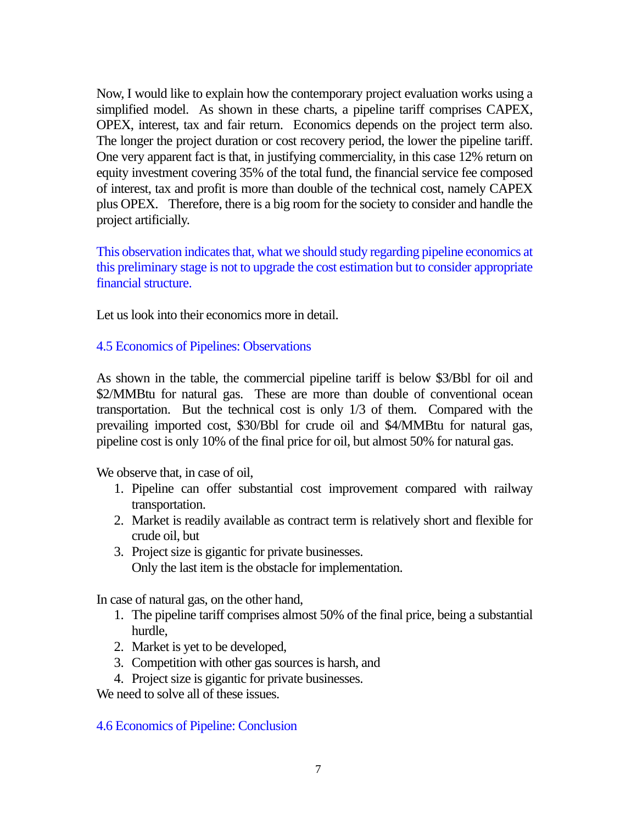Now, I would like to explain how the contemporary project evaluation works using a simplified model. As shown in these charts, a pipeline tariff comprises CAPEX, OPEX, interest, tax and fair return. Economics depends on the project term also. The longer the project duration or cost recovery period, the lower the pipeline tariff. One very apparent fact is that, in justifying commerciality, in this case 12% return on equity investment covering 35% of the total fund, the financial service fee composed of interest, tax and profit is more than double of the technical cost, namely CAPEX plus OPEX. Therefore, there is a big room for the society to consider and handle the project artificially.

This observation indicates that, what we should study regarding pipeline economics at this preliminary stage is not to upgrade the cost estimation but to consider appropriate financial structure.

Let us look into their economics more in detail.

## 4.5 Economics of Pipelines: Observations

As shown in the table, the commercial pipeline tariff is below \$3/Bbl for oil and \$2/MMBtu for natural gas. These are more than double of conventional ocean transportation. But the technical cost is only 1/3 of them. Compared with the prevailing imported cost, \$30/Bbl for crude oil and \$4/MMBtu for natural gas, pipeline cost is only 10% of the final price for oil, but almost 50% for natural gas.

We observe that, in case of oil,

- 1. Pipeline can offer substantial cost improvement compared with railway transportation.
- 2. Market is readily available as contract term is relatively short and flexible for crude oil, but
- 3. Project size is gigantic for private businesses. Only the last item is the obstacle for implementation.

In case of natural gas, on the other hand,

- 1. The pipeline tariff comprises almost 50% of the final price, being a substantial hurdle,
- 2. Market is yet to be developed,
- 3. Competition with other gas sources is harsh, and
- 4. Project size is gigantic for private businesses.

We need to solve all of these issues.

#### 4.6 Economics of Pipeline: Conclusion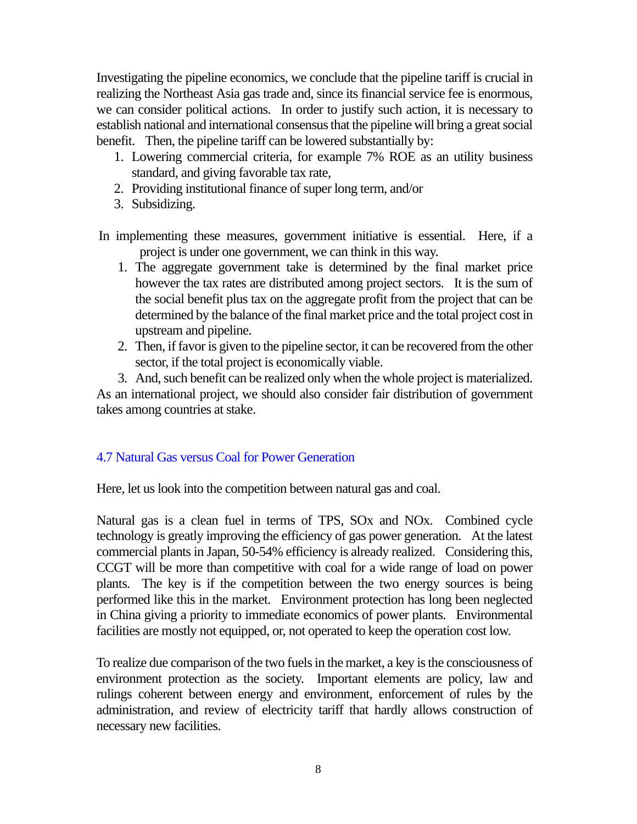Investigating the pipeline economics, we conclude that the pipeline tariff is crucial in realizing the Northeast Asia gas trade and, since its financial service fee is enormous, we can consider political actions. In order to justify such action, it is necessary to establish national and international consensus that the pipeline will bring a great social benefit. Then, the pipeline tariff can be lowered substantially by:

- 1. Lowering commercial criteria, for example 7% ROE as an utility business standard, and giving favorable tax rate,
- 2. Providing institutional finance of super long term, and/or
- 3. Subsidizing.

In implementing these measures, government initiative is essential. Here, if a project is under one government, we can think in this way.

- 1. The aggregate government take is determined by the final market price however the tax rates are distributed among project sectors. It is the sum of the social benefit plus tax on the aggregate profit from the project that can be determined by the balance of the final market price and the total project cost in upstream and pipeline.
- 2. Then, if favor is given to the pipeline sector, it can be recovered from the other sector, if the total project is economically viable.
- 3. And, such benefit can be realized only when the whole project is materialized.

As an international project, we should also consider fair distribution of government takes among countries at stake.

## 4.7 Natural Gas versus Coal for Power Generation

Here, let us look into the competition between natural gas and coal.

Natural gas is a clean fuel in terms of TPS, SOx and NOx. Combined cycle technology is greatly improving the efficiency of gas power generation. At the latest commercial plants in Japan, 50-54% efficiency is already realized. Considering this, CCGT will be more than competitive with coal for a wide range of load on power plants. The key is if the competition between the two energy sources is being performed like this in the market. Environment protection has long been neglected in China giving a priority to immediate economics of power plants. Environmental facilities are mostly not equipped, or, not operated to keep the operation cost low.

To realize due comparison of the two fuels in the market, a key is the consciousness of environment protection as the society. Important elements are policy, law and rulings coherent between energy and environment, enforcement of rules by the administration, and review of electricity tariff that hardly allows construction of necessary new facilities.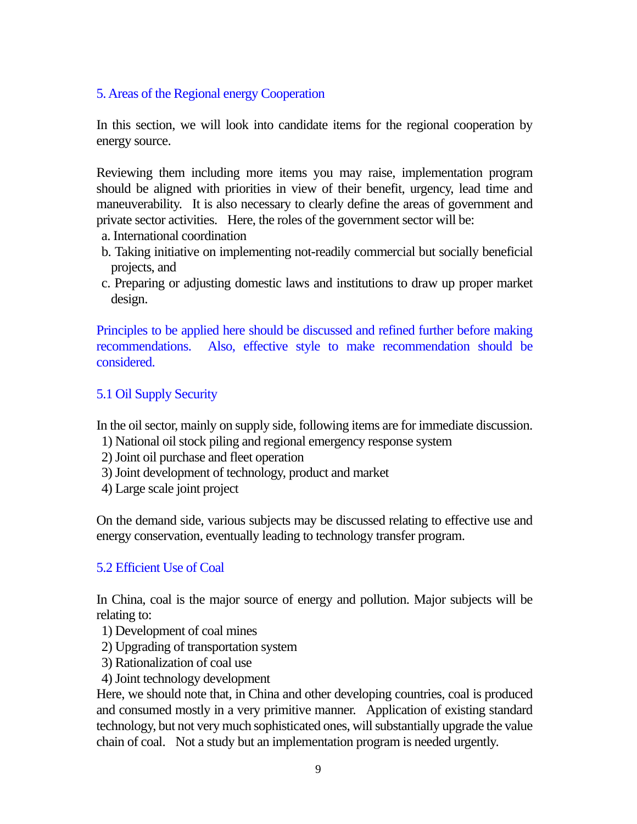## 5. Areas of the Regional energy Cooperation

In this section, we will look into candidate items for the regional cooperation by energy source.

Reviewing them including more items you may raise, implementation program should be aligned with priorities in view of their benefit, urgency, lead time and maneuverability. It is also necessary to clearly define the areas of government and private sector activities. Here, the roles of the government sector will be:

- a. International coordination
- b. Taking initiative on implementing not-readily commercial but socially beneficial projects, and
- c. Preparing or adjusting domestic laws and institutions to draw up proper market design.

Principles to be applied here should be discussed and refined further before making recommendations. Also, effective style to make recommendation should be considered.

## 5.1 Oil Supply Security

In the oil sector, mainly on supply side, following items are for immediate discussion.

- 1) National oil stock piling and regional emergency response system
- 2) Joint oil purchase and fleet operation
- 3) Joint development of technology, product and market
- 4) Large scale joint project

On the demand side, various subjects may be discussed relating to effective use and energy conservation, eventually leading to technology transfer program.

## 5.2 Efficient Use of Coal

In China, coal is the major source of energy and pollution. Major subjects will be relating to:

- 1) Development of coal mines
- 2) Upgrading of transportation system
- 3) Rationalization of coal use
- 4) Joint technology development

Here, we should note that, in China and other developing countries, coal is produced and consumed mostly in a very primitive manner. Application of existing standard technology, but not very much sophisticated ones, will substantially upgrade the value chain of coal. Not a study but an implementation program is needed urgently.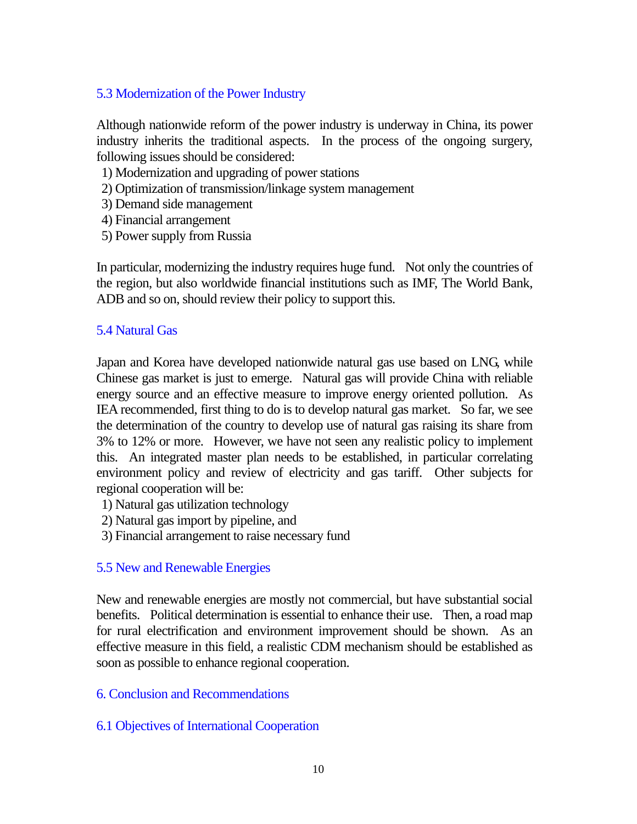### 5.3 Modernization of the Power Industry

Although nationwide reform of the power industry is underway in China, its power industry inherits the traditional aspects. In the process of the ongoing surgery, following issues should be considered:

- 1) Modernization and upgrading of power stations
- 2) Optimization of transmission/linkage system management
- 3) Demand side management
- 4) Financial arrangement
- 5) Power supply from Russia

In particular, modernizing the industry requires huge fund. Not only the countries of the region, but also worldwide financial institutions such as IMF, The World Bank, ADB and so on, should review their policy to support this.

#### 5.4 Natural Gas

Japan and Korea have developed nationwide natural gas use based on LNG, while Chinese gas market is just to emerge. Natural gas will provide China with reliable energy source and an effective measure to improve energy oriented pollution. As IEA recommended, first thing to do is to develop natural gas market. So far, we see the determination of the country to develop use of natural gas raising its share from 3% to 12% or more. However, we have not seen any realistic policy to implement this. An integrated master plan needs to be established, in particular correlating environment policy and review of electricity and gas tariff. Other subjects for regional cooperation will be:

- 1) Natural gas utilization technology
- 2) Natural gas import by pipeline, and
- 3) Financial arrangement to raise necessary fund

#### 5.5 New and Renewable Energies

New and renewable energies are mostly not commercial, but have substantial social benefits. Political determination is essential to enhance their use. Then, a road map for rural electrification and environment improvement should be shown. As an effective measure in this field, a realistic CDM mechanism should be established as soon as possible to enhance regional cooperation.

## 6. Conclusion and Recommendations

## 6.1 Objectives of International Cooperation